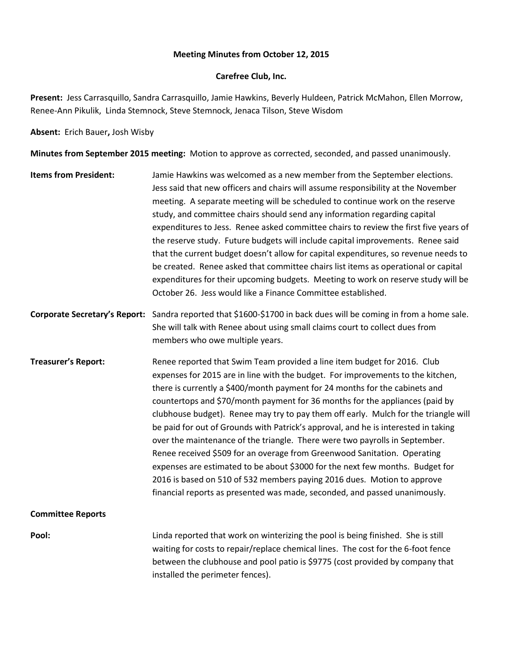#### **Meeting Minutes from October 12, 2015**

#### **Carefree Club, Inc.**

**Present:** Jess Carrasquillo, Sandra Carrasquillo, Jamie Hawkins, Beverly Huldeen, Patrick McMahon, Ellen Morrow, Renee-Ann Pikulik, Linda Stemnock, Steve Stemnock, Jenaca Tilson, Steve Wisdom

**Absent:** Erich Bauer**,** Josh Wisby

**Minutes from September 2015 meeting:** Motion to approve as corrected, seconded, and passed unanimously.

- **Items from President:** Jamie Hawkins was welcomed as a new member from the September elections. Jess said that new officers and chairs will assume responsibility at the November meeting. A separate meeting will be scheduled to continue work on the reserve study, and committee chairs should send any information regarding capital expenditures to Jess. Renee asked committee chairs to review the first five years of the reserve study. Future budgets will include capital improvements. Renee said that the current budget doesn't allow for capital expenditures, so revenue needs to be created. Renee asked that committee chairs list items as operational or capital expenditures for their upcoming budgets. Meeting to work on reserve study will be October 26. Jess would like a Finance Committee established.
- **Corporate Secretary's Report:** Sandra reported that \$1600-\$1700 in back dues will be coming in from a home sale. She will talk with Renee about using small claims court to collect dues from members who owe multiple years.
- **Treasurer's Report:** Renee reported that Swim Team provided a line item budget for 2016. Club expenses for 2015 are in line with the budget. For improvements to the kitchen, there is currently a \$400/month payment for 24 months for the cabinets and countertops and \$70/month payment for 36 months for the appliances (paid by clubhouse budget). Renee may try to pay them off early. Mulch for the triangle will be paid for out of Grounds with Patrick's approval, and he is interested in taking over the maintenance of the triangle. There were two payrolls in September. Renee received \$509 for an overage from Greenwood Sanitation. Operating expenses are estimated to be about \$3000 for the next few months. Budget for 2016 is based on 510 of 532 members paying 2016 dues. Motion to approve financial reports as presented was made, seconded, and passed unanimously.

### **Committee Reports**

**Pool:** Linda reported that work on winterizing the pool is being finished. She is still waiting for costs to repair/replace chemical lines. The cost for the 6-foot fence between the clubhouse and pool patio is \$9775 (cost provided by company that installed the perimeter fences).